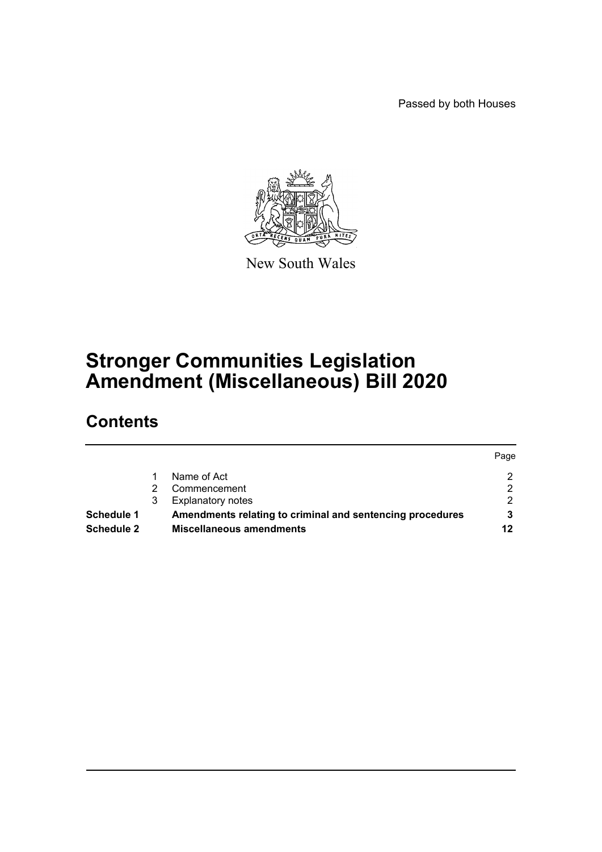Passed by both Houses



New South Wales

# **Stronger Communities Legislation Amendment (Miscellaneous) Bill 2020**

# **Contents**

|                   |                                                           | Page |
|-------------------|-----------------------------------------------------------|------|
|                   | Name of Act                                               | ົ    |
|                   | Commencement                                              |      |
|                   | <b>Explanatory notes</b>                                  |      |
| Schedule 1        | Amendments relating to criminal and sentencing procedures |      |
| <b>Schedule 2</b> | <b>Miscellaneous amendments</b>                           | 12   |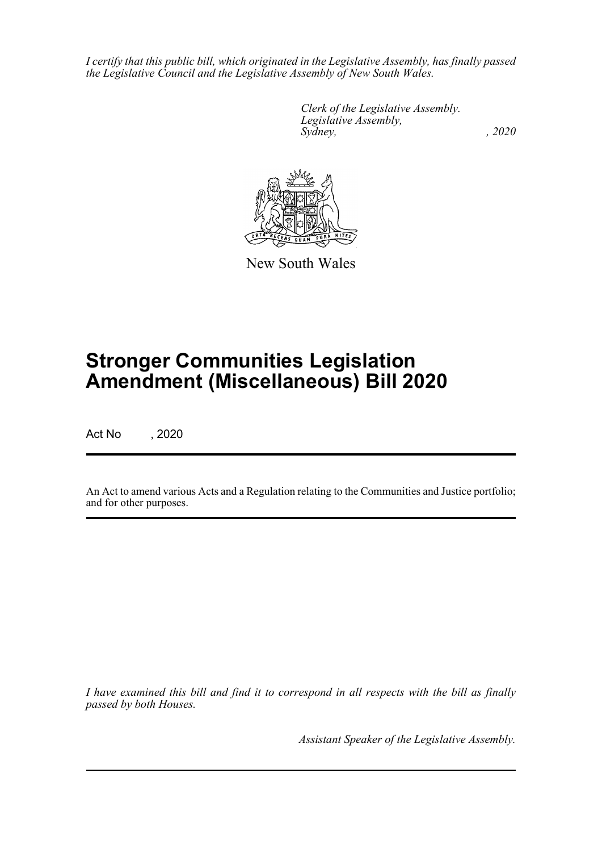*I certify that this public bill, which originated in the Legislative Assembly, has finally passed the Legislative Council and the Legislative Assembly of New South Wales.*

> *Clerk of the Legislative Assembly. Legislative Assembly, Sydney, , 2020*



New South Wales

# **Stronger Communities Legislation Amendment (Miscellaneous) Bill 2020**

Act No , 2020

An Act to amend various Acts and a Regulation relating to the Communities and Justice portfolio; and for other purposes.

*I have examined this bill and find it to correspond in all respects with the bill as finally passed by both Houses.*

*Assistant Speaker of the Legislative Assembly.*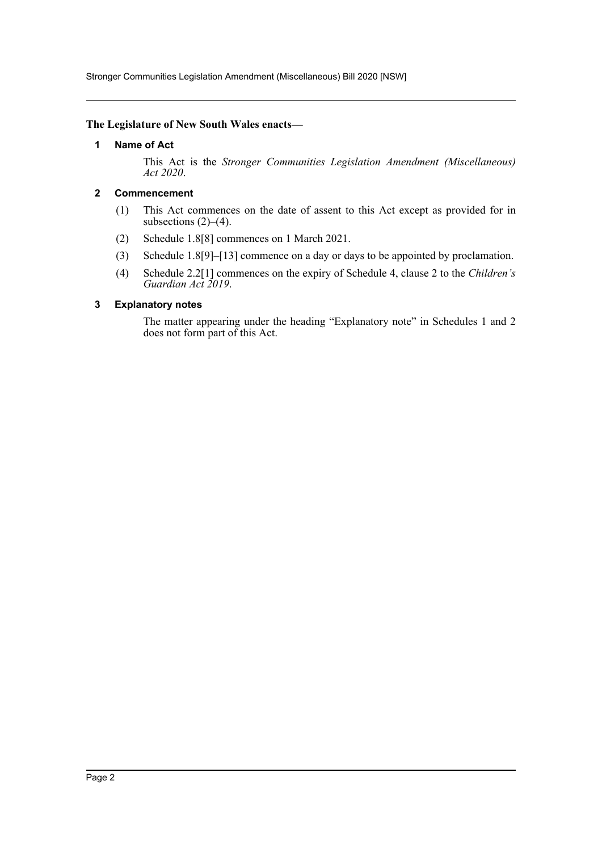Stronger Communities Legislation Amendment (Miscellaneous) Bill 2020 [NSW]

#### <span id="page-2-0"></span>**The Legislature of New South Wales enacts—**

#### **1 Name of Act**

This Act is the *Stronger Communities Legislation Amendment (Miscellaneous) Act 2020*.

## <span id="page-2-1"></span>**2 Commencement**

- (1) This Act commences on the date of assent to this Act except as provided for in subsections  $(2)$ – $(4)$ .
- (2) Schedule 1.8[8] commences on 1 March 2021.
- (3) Schedule 1.8[9]–[13] commence on a day or days to be appointed by proclamation.
- (4) Schedule 2.2[1] commences on the expiry of Schedule 4, clause 2 to the *Children's Guardian Act 2019*.

#### <span id="page-2-2"></span>**3 Explanatory notes**

The matter appearing under the heading "Explanatory note" in Schedules 1 and 2 does not form part of this Act.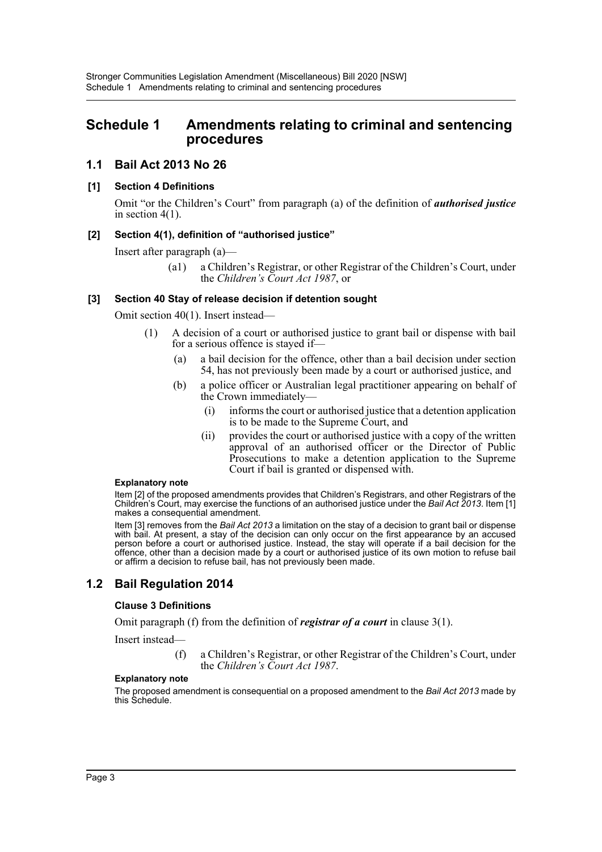# <span id="page-3-0"></span>**Schedule 1 Amendments relating to criminal and sentencing procedures**

# **1.1 Bail Act 2013 No 26**

## **[1] Section 4 Definitions**

Omit "or the Children's Court" from paragraph (a) of the definition of *authorised justice* in section 4(1).

#### **[2] Section 4(1), definition of "authorised justice"**

Insert after paragraph (a)—

(a1) a Children's Registrar, or other Registrar of the Children's Court, under the *Children's Court Act 1987*, or

#### **[3] Section 40 Stay of release decision if detention sought**

Omit section 40(1). Insert instead—

- (1) A decision of a court or authorised justice to grant bail or dispense with bail for a serious offence is stayed if—
	- (a) a bail decision for the offence, other than a bail decision under section 54, has not previously been made by a court or authorised justice, and
	- (b) a police officer or Australian legal practitioner appearing on behalf of the Crown immediately—
		- (i) informs the court or authorised justice that a detention application is to be made to the Supreme Court, and
		- (ii) provides the court or authorised justice with a copy of the written approval of an authorised officer or the Director of Public Prosecutions to make a detention application to the Supreme Court if bail is granted or dispensed with.

#### **Explanatory note**

Item [2] of the proposed amendments provides that Children's Registrars, and other Registrars of the Children's Court, may exercise the functions of an authorised justice under the *Bail Act 2013*. Item [1] makes a consequential amendment.

Item [3] removes from the *Bail Act 2013* a limitation on the stay of a decision to grant bail or dispense with bail. At present, a stay of the decision can only occur on the first appearance by an accused person before a court or authorised justice. Instead, the stay will operate if a bail decision for the offence, other than a decision made by a court or authorised justice of its own motion to refuse bail or affirm a decision to refuse bail, has not previously been made.

# **1.2 Bail Regulation 2014**

#### **Clause 3 Definitions**

Omit paragraph (f) from the definition of *registrar of a court* in clause 3(1).

Insert instead—

(f) a Children's Registrar, or other Registrar of the Children's Court, under the *Children's Court Act 1987*.

#### **Explanatory note**

The proposed amendment is consequential on a proposed amendment to the *Bail Act 2013* made by this Schedule.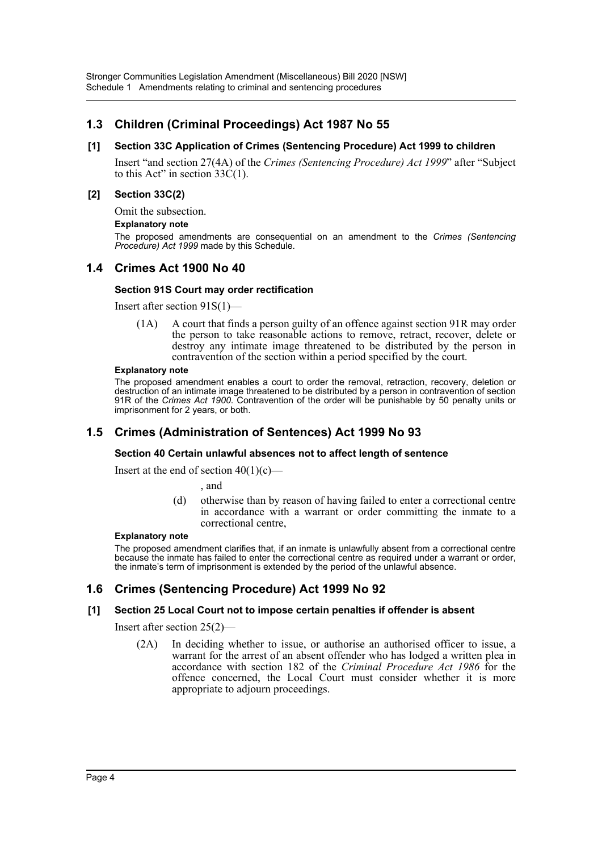# **1.3 Children (Criminal Proceedings) Act 1987 No 55**

## **[1] Section 33C Application of Crimes (Sentencing Procedure) Act 1999 to children**

Insert "and section 27(4A) of the *Crimes (Sentencing Procedure) Act 1999*" after "Subject to this Act" in section  $33C(1)$ .

#### **[2] Section 33C(2)**

Omit the subsection.

#### **Explanatory note**

The proposed amendments are consequential on an amendment to the *Crimes (Sentencing Procedure) Act 1999* made by this Schedule.

# **1.4 Crimes Act 1900 No 40**

#### **Section 91S Court may order rectification**

Insert after section 91S(1)—

(1A) A court that finds a person guilty of an offence against section 91R may order the person to take reasonable actions to remove, retract, recover, delete or destroy any intimate image threatened to be distributed by the person in contravention of the section within a period specified by the court.

#### **Explanatory note**

The proposed amendment enables a court to order the removal, retraction, recovery, deletion or destruction of an intimate image threatened to be distributed by a person in contravention of section 91R of the *Crimes Act 1900*. Contravention of the order will be punishable by 50 penalty units or imprisonment for 2 years, or both.

# **1.5 Crimes (Administration of Sentences) Act 1999 No 93**

#### **Section 40 Certain unlawful absences not to affect length of sentence**

Insert at the end of section  $40(1)(c)$ —

, and

(d) otherwise than by reason of having failed to enter a correctional centre in accordance with a warrant or order committing the inmate to a correctional centre,

#### **Explanatory note**

The proposed amendment clarifies that, if an inmate is unlawfully absent from a correctional centre because the inmate has failed to enter the correctional centre as required under a warrant or order, the inmate's term of imprisonment is extended by the period of the unlawful absence.

# **1.6 Crimes (Sentencing Procedure) Act 1999 No 92**

#### **[1] Section 25 Local Court not to impose certain penalties if offender is absent**

Insert after section 25(2)—

(2A) In deciding whether to issue, or authorise an authorised officer to issue, a warrant for the arrest of an absent offender who has lodged a written plea in accordance with section 182 of the *Criminal Procedure Act 1986* for the offence concerned, the Local Court must consider whether it is more appropriate to adjourn proceedings.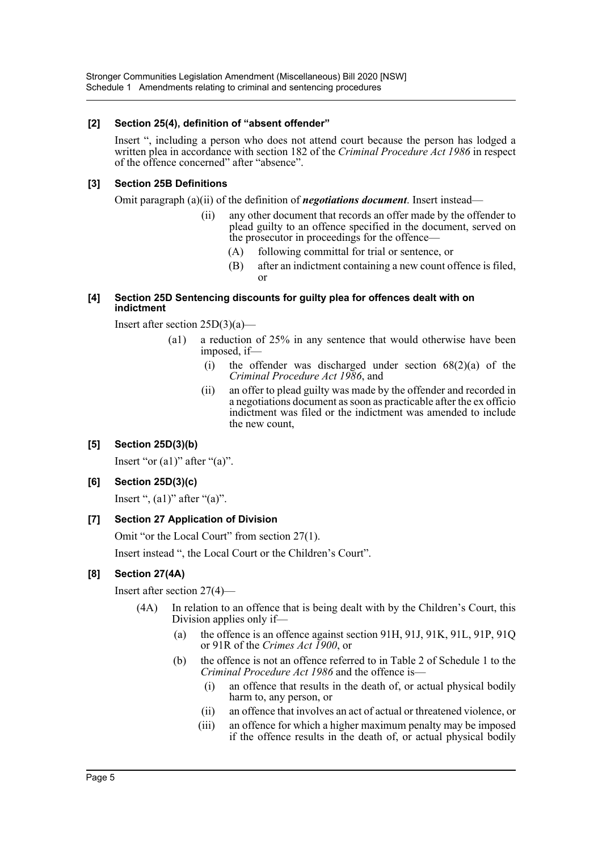Stronger Communities Legislation Amendment (Miscellaneous) Bill 2020 [NSW] Schedule 1 Amendments relating to criminal and sentencing procedures

#### **[2] Section 25(4), definition of "absent offender"**

Insert ", including a person who does not attend court because the person has lodged a written plea in accordance with section 182 of the *Criminal Procedure Act 1986* in respect of the offence concerned" after "absence".

## **[3] Section 25B Definitions**

Omit paragraph (a)(ii) of the definition of *negotiations document*. Insert instead—

- (ii) any other document that records an offer made by the offender to plead guilty to an offence specified in the document, served on the prosecutor in proceedings for the offence—
	- (A) following committal for trial or sentence, or
	- (B) after an indictment containing a new count offence is filed, or

#### **[4] Section 25D Sentencing discounts for guilty plea for offences dealt with on indictment**

Insert after section 25D(3)(a)—

- (a1) a reduction of 25% in any sentence that would otherwise have been imposed, if—
	- (i) the offender was discharged under section  $68(2)(a)$  of the *Criminal Procedure Act 1986*, and
	- (ii) an offer to plead guilty was made by the offender and recorded in a negotiations document as soon as practicable after the ex officio indictment was filed or the indictment was amended to include the new count,

# **[5] Section 25D(3)(b)**

Insert "or  $(a1)$ " after " $(a)$ ".

# **[6] Section 25D(3)(c)**

Insert ",  $(a1)$ " after " $(a)$ ".

# **[7] Section 27 Application of Division**

Omit "or the Local Court" from section 27(1).

Insert instead ", the Local Court or the Children's Court".

# **[8] Section 27(4A)**

Insert after section 27(4)—

- (4A) In relation to an offence that is being dealt with by the Children's Court, this Division applies only if—
	- (a) the offence is an offence against section 91H, 91J, 91K, 91L, 91P, 91Q or 91R of the *Crimes Act 1900*, or
	- (b) the offence is not an offence referred to in Table 2 of Schedule 1 to the *Criminal Procedure Act 1986* and the offence is—
		- (i) an offence that results in the death of, or actual physical bodily harm to, any person, or
		- (ii) an offence that involves an act of actual or threatened violence, or
		- (iii) an offence for which a higher maximum penalty may be imposed if the offence results in the death of, or actual physical bodily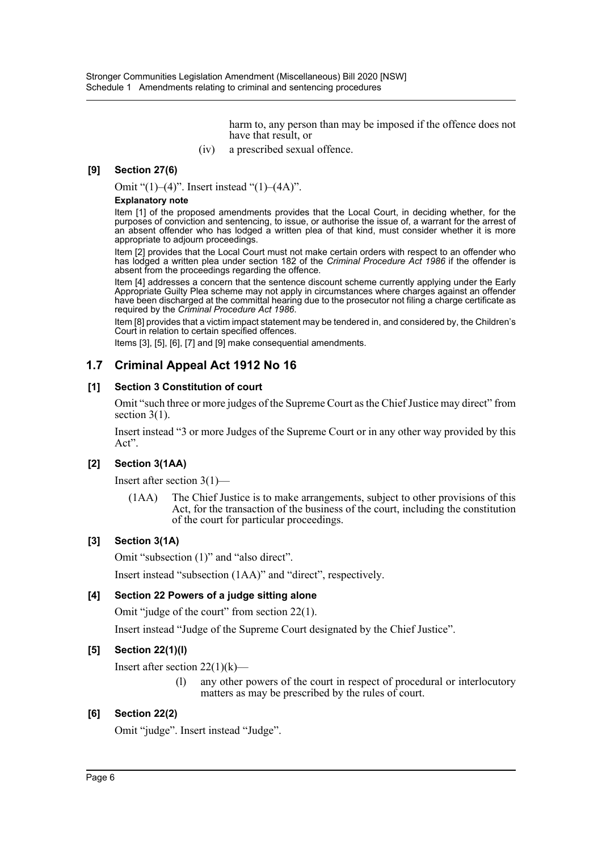harm to, any person than may be imposed if the offence does not have that result, or

(iv) a prescribed sexual offence.

## **[9] Section 27(6)**

Omit "(1)–(4)". Insert instead "(1)–(4A)".

#### **Explanatory note**

Item [1] of the proposed amendments provides that the Local Court, in deciding whether, for the purposes of conviction and sentencing, to issue, or authorise the issue of, a warrant for the arrest of an absent offender who has lodged a written plea of that kind, must consider whether it is more appropriate to adjourn proceedings.

Item [2] provides that the Local Court must not make certain orders with respect to an offender who has lodged a written plea under section 182 of the *Criminal Procedure Act 1986* if the offender is absent from the proceedings regarding the offence.

Item [4] addresses a concern that the sentence discount scheme currently applying under the Early Appropriate Guilty Plea scheme may not apply in circumstances where charges against an offender have been discharged at the committal hearing due to the prosecutor not filing a charge certificate as required by the *Criminal Procedure Act 1986*.

Item [8] provides that a victim impact statement may be tendered in, and considered by, the Children's Court in relation to certain specified offences.

Items [3], [5], [6], [7] and [9] make consequential amendments.

# **1.7 Criminal Appeal Act 1912 No 16**

#### **[1] Section 3 Constitution of court**

Omit "such three or more judges of the Supreme Court as the Chief Justice may direct" from section 3(1).

Insert instead "3 or more Judges of the Supreme Court or in any other way provided by this Act".

#### **[2] Section 3(1AA)**

Insert after section 3(1)—

(1AA) The Chief Justice is to make arrangements, subject to other provisions of this Act, for the transaction of the business of the court, including the constitution of the court for particular proceedings.

## **[3] Section 3(1A)**

Omit "subsection (1)" and "also direct".

Insert instead "subsection (1AA)" and "direct", respectively.

#### **[4] Section 22 Powers of a judge sitting alone**

Omit "judge of the court" from section 22(1).

Insert instead "Judge of the Supreme Court designated by the Chief Justice".

#### **[5] Section 22(1)(l)**

Insert after section  $22(1)(k)$ —

(l) any other powers of the court in respect of procedural or interlocutory matters as may be prescribed by the rules of court.

## **[6] Section 22(2)**

Omit "judge". Insert instead "Judge".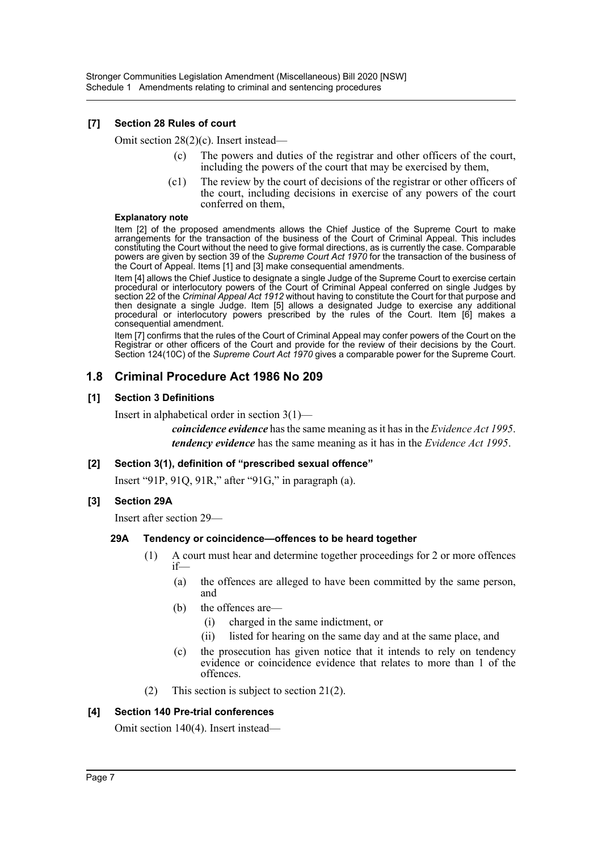## **[7] Section 28 Rules of court**

Omit section 28(2)(c). Insert instead—

- (c) The powers and duties of the registrar and other officers of the court, including the powers of the court that may be exercised by them,
- (c1) The review by the court of decisions of the registrar or other officers of the court, including decisions in exercise of any powers of the court conferred on them,

#### **Explanatory note**

Item [2] of the proposed amendments allows the Chief Justice of the Supreme Court to make arrangements for the transaction of the business of the Court of Criminal Appeal. This includes constituting the Court without the need to give formal directions, as is currently the case. Comparable powers are given by section 39 of the *Supreme Court Act 1970* for the transaction of the business of the Court of Appeal. Items [1] and [3] make consequential amendments.

Item [4] allows the Chief Justice to designate a single Judge of the Supreme Court to exercise certain procedural or interlocutory powers of the Court of Criminal Appeal conferred on single Judges by section 22 of the *Criminal Appeal Act 1912* without having to constitute the Court for that purpose and then designate a single Judge. Item [5] allows a designated Judge to exercise any additional procedural or interlocutory powers prescribed by the rules of the Court. Item [6] makes a consequential amendment.

Item [7] confirms that the rules of the Court of Criminal Appeal may confer powers of the Court on the Registrar or other officers of the Court and provide for the review of their decisions by the Court. Section 124(10C) of the *Supreme Court Act 1970* gives a comparable power for the Supreme Court.

# **1.8 Criminal Procedure Act 1986 No 209**

## **[1] Section 3 Definitions**

Insert in alphabetical order in section 3(1)—

*coincidence evidence* has the same meaning as it has in the *Evidence Act 1995*. *tendency evidence* has the same meaning as it has in the *Evidence Act 1995*.

#### **[2] Section 3(1), definition of "prescribed sexual offence"**

Insert "91P, 91Q, 91R," after "91G," in paragraph (a).

# **[3] Section 29A**

Insert after section 29—

#### **29A Tendency or coincidence—offences to be heard together**

- (1) A court must hear and determine together proceedings for 2 or more offences if—
	- (a) the offences are alleged to have been committed by the same person, and
	- (b) the offences are—
		- (i) charged in the same indictment, or
		- (ii) listed for hearing on the same day and at the same place, and
	- (c) the prosecution has given notice that it intends to rely on tendency evidence or coincidence evidence that relates to more than 1 of the offences.
- (2) This section is subject to section 21(2).

#### **[4] Section 140 Pre-trial conferences**

Omit section 140(4). Insert instead—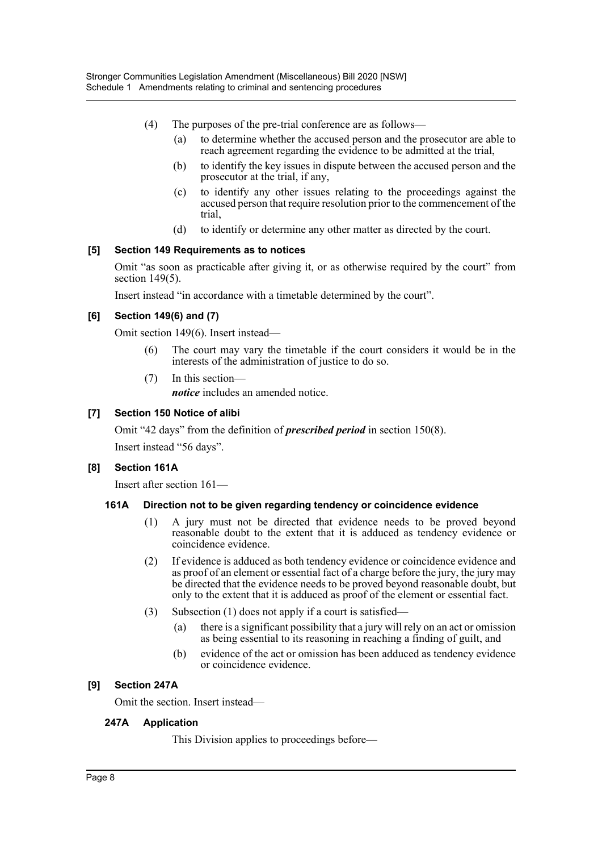- (4) The purposes of the pre-trial conference are as follows—
	- (a) to determine whether the accused person and the prosecutor are able to reach agreement regarding the evidence to be admitted at the trial,
	- (b) to identify the key issues in dispute between the accused person and the prosecutor at the trial, if any,
	- (c) to identify any other issues relating to the proceedings against the accused person that require resolution prior to the commencement of the trial,
	- (d) to identify or determine any other matter as directed by the court.

#### **[5] Section 149 Requirements as to notices**

Omit "as soon as practicable after giving it, or as otherwise required by the court" from section 149(5).

Insert instead "in accordance with a timetable determined by the court".

## **[6] Section 149(6) and (7)**

Omit section 149(6). Insert instead—

- The court may vary the timetable if the court considers it would be in the interests of the administration of justice to do so.
- (7) In this section *notice* includes an amended notice.

#### **[7] Section 150 Notice of alibi**

Omit "42 days" from the definition of *prescribed period* in section 150(8).

Insert instead "56 days".

#### **[8] Section 161A**

Insert after section 161—

#### **161A Direction not to be given regarding tendency or coincidence evidence**

- (1) A jury must not be directed that evidence needs to be proved beyond reasonable doubt to the extent that it is adduced as tendency evidence or coincidence evidence.
- (2) If evidence is adduced as both tendency evidence or coincidence evidence and as proof of an element or essential fact of a charge before the jury, the jury may be directed that the evidence needs to be proved beyond reasonable doubt, but only to the extent that it is adduced as proof of the element or essential fact.
- (3) Subsection (1) does not apply if a court is satisfied—
	- (a) there is a significant possibility that a jury will rely on an act or omission as being essential to its reasoning in reaching a finding of guilt, and
	- (b) evidence of the act or omission has been adduced as tendency evidence or coincidence evidence.

#### **[9] Section 247A**

Omit the section. Insert instead—

#### **247A Application**

This Division applies to proceedings before—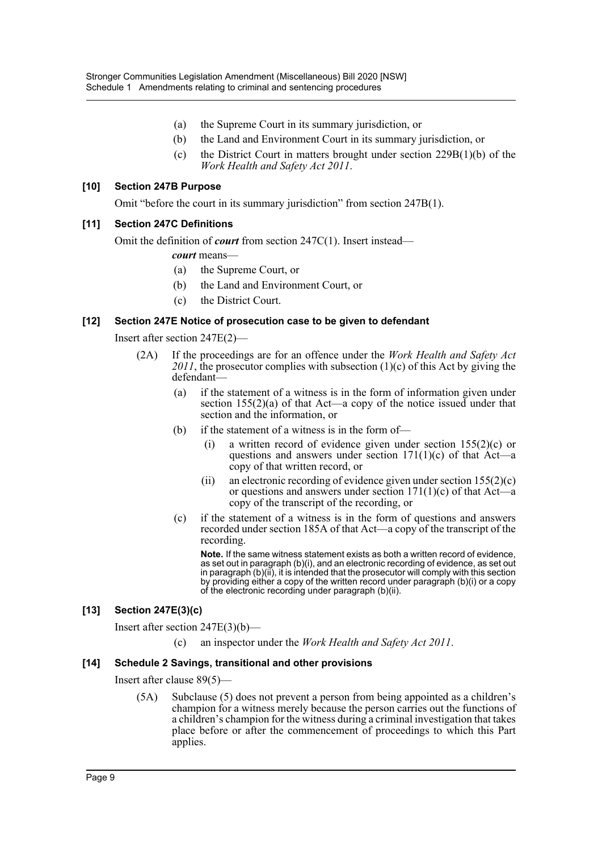- (a) the Supreme Court in its summary jurisdiction, or
- (b) the Land and Environment Court in its summary jurisdiction, or
- (c) the District Court in matters brought under section 229B(1)(b) of the *Work Health and Safety Act 2011*.

#### **[10] Section 247B Purpose**

Omit "before the court in its summary jurisdiction" from section 247B(1).

#### **[11] Section 247C Definitions**

Omit the definition of *court* from section 247C(1). Insert instead—

*court* means—

- (a) the Supreme Court, or
- (b) the Land and Environment Court, or
- (c) the District Court.

#### **[12] Section 247E Notice of prosecution case to be given to defendant**

Insert after section 247E(2)—

- (2A) If the proceedings are for an offence under the *Work Health and Safety Act 2011*, the prosecutor complies with subsection (1)(c) of this Act by giving the defendant—
	- (a) if the statement of a witness is in the form of information given under section  $155(2)(a)$  of that Act—a copy of the notice issued under that section and the information, or
	- (b) if the statement of a witness is in the form of-
		- (i) a written record of evidence given under section 155(2)(c) or questions and answers under section  $171(1)(c)$  of that Act—a copy of that written record, or
		- (ii) an electronic recording of evidence given under section  $155(2)(c)$ or questions and answers under section  $171(1)(c)$  of that Act—a copy of the transcript of the recording, or
	- (c) if the statement of a witness is in the form of questions and answers recorded under section 185A of that Act—a copy of the transcript of the recording.

**Note.** If the same witness statement exists as both a written record of evidence, as set out in paragraph (b)(i), and an electronic recording of evidence, as set out in paragraph (b)(ii), it is intended that the prosecutor will comply with this section by providing either a copy of the written record under paragraph (b)(i) or a copy of the electronic recording under paragraph (b)(ii).

#### **[13] Section 247E(3)(c)**

Insert after section 247E(3)(b)—

(c) an inspector under the *Work Health and Safety Act 2011*.

#### **[14] Schedule 2 Savings, transitional and other provisions**

Insert after clause 89(5)—

(5A) Subclause (5) does not prevent a person from being appointed as a children's champion for a witness merely because the person carries out the functions of a children's champion for the witness during a criminal investigation that takes place before or after the commencement of proceedings to which this Part applies.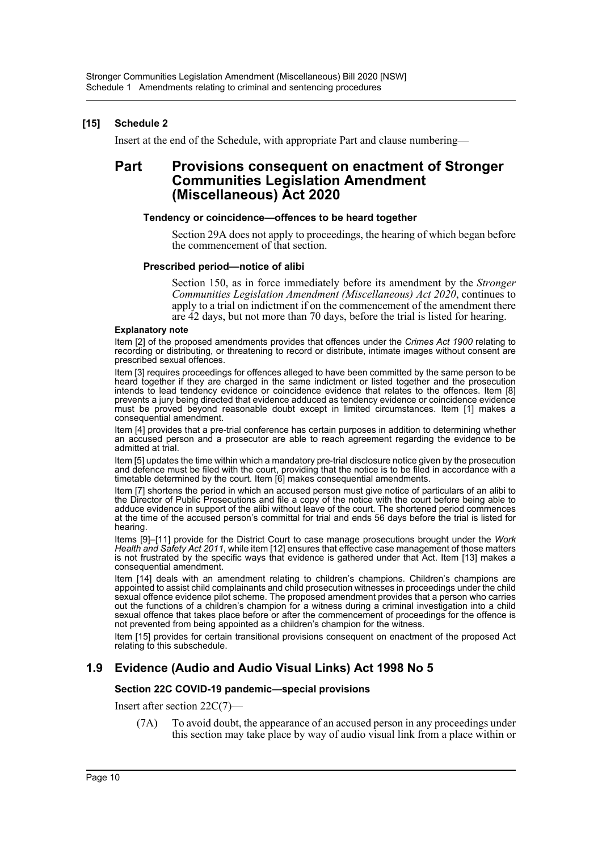## **[15] Schedule 2**

Insert at the end of the Schedule, with appropriate Part and clause numbering—

# **Part Provisions consequent on enactment of Stronger Communities Legislation Amendment (Miscellaneous) Act 2020**

#### **Tendency or coincidence—offences to be heard together**

Section 29A does not apply to proceedings, the hearing of which began before the commencement of that section.

#### **Prescribed period—notice of alibi**

Section 150, as in force immediately before its amendment by the *Stronger Communities Legislation Amendment (Miscellaneous) Act 2020*, continues to apply to a trial on indictment if on the commencement of the amendment there are 42 days, but not more than 70 days, before the trial is listed for hearing.

#### **Explanatory note**

Item [2] of the proposed amendments provides that offences under the *Crimes Act 1900* relating to recording or distributing, or threatening to record or distribute, intimate images without consent are prescribed sexual offences.

Item [3] requires proceedings for offences alleged to have been committed by the same person to be heard together if they are charged in the same indictment or listed together and the prosecution intends to lead tendency evidence or coincidence evidence that relates to the offences. Item [8] prevents a jury being directed that evidence adduced as tendency evidence or coincidence evidence must be proved beyond reasonable doubt except in limited circumstances. Item [1] makes a consequential amendment.

Item [4] provides that a pre-trial conference has certain purposes in addition to determining whether an accused person and a prosecutor are able to reach agreement regarding the evidence to be admitted at trial.

Item [5] updates the time within which a mandatory pre-trial disclosure notice given by the prosecution and defence must be filed with the court, providing that the notice is to be filed in accordance with a timetable determined by the court. Item [6] makes consequential amendments.

Item [7] shortens the period in which an accused person must give notice of particulars of an alibi to the Director of Public Prosecutions and file a copy of the notice with the court before being able to adduce evidence in support of the alibi without leave of the court. The shortened period commences at the time of the accused person's committal for trial and ends 56 days before the trial is listed for hearing.

Items [9]–[11] provide for the District Court to case manage prosecutions brought under the *Work Health and Safety Act 2011*, while item [12] ensures that effective case management of those matters is not frustrated by the specific ways that evidence is gathered under that Act. Item [13] makes a consequential amendment.

Item [14] deals with an amendment relating to children's champions. Children's champions are appointed to assist child complainants and child prosecution witnesses in proceedings under the child sexual offence evidence pilot scheme. The proposed amendment provides that a person who carries out the functions of a children's champion for a witness during a criminal investigation into a child sexual offence that takes place before or after the commencement of proceedings for the offence is not prevented from being appointed as a children's champion for the witness.

Item [15] provides for certain transitional provisions consequent on enactment of the proposed Act relating to this subschedule.

# **1.9 Evidence (Audio and Audio Visual Links) Act 1998 No 5**

#### **Section 22C COVID-19 pandemic—special provisions**

Insert after section 22C(7)—

(7A) To avoid doubt, the appearance of an accused person in any proceedings under this section may take place by way of audio visual link from a place within or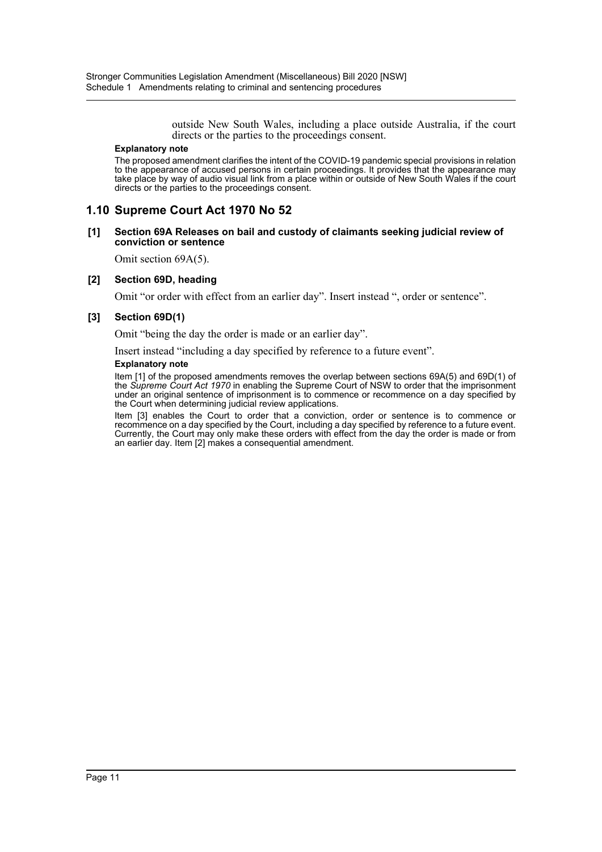outside New South Wales, including a place outside Australia, if the court directs or the parties to the proceedings consent.

#### **Explanatory note**

The proposed amendment clarifies the intent of the COVID-19 pandemic special provisions in relation to the appearance of accused persons in certain proceedings. It provides that the appearance may take place by way of audio visual link from a place within or outside of New South Wales if the court directs or the parties to the proceedings consent.

## **1.10 Supreme Court Act 1970 No 52**

#### **[1] Section 69A Releases on bail and custody of claimants seeking judicial review of conviction or sentence**

Omit section 69A(5).

## **[2] Section 69D, heading**

Omit "or order with effect from an earlier day". Insert instead ", order or sentence".

#### **[3] Section 69D(1)**

Omit "being the day the order is made or an earlier day".

Insert instead "including a day specified by reference to a future event".

#### **Explanatory note**

Item [1] of the proposed amendments removes the overlap between sections 69A(5) and 69D(1) of the *Supreme Court Act 1970* in enabling the Supreme Court of NSW to order that the imprisonment under an original sentence of imprisonment is to commence or recommence on a day specified by the Court when determining judicial review applications.

Item [3] enables the Court to order that a conviction, order or sentence is to commence or recommence on a day specified by the Court, including a day specified by reference to a future event. Currently, the Court may only make these orders with effect from the day the order is made or from an earlier day. Item [2] makes a consequential amendment.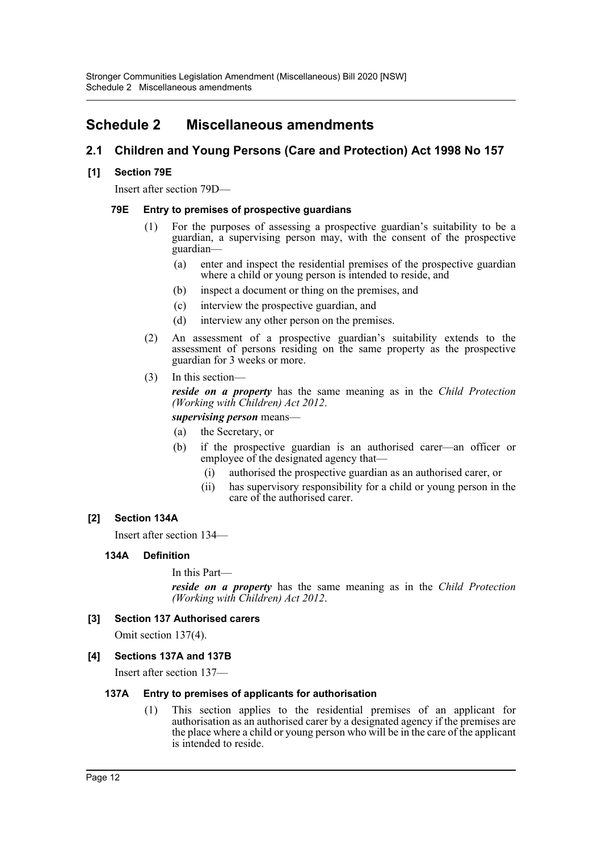# <span id="page-12-0"></span>**Schedule 2 Miscellaneous amendments**

# **2.1 Children and Young Persons (Care and Protection) Act 1998 No 157**

# **[1] Section 79E**

Insert after section 79D—

## **79E Entry to premises of prospective guardians**

- (1) For the purposes of assessing a prospective guardian's suitability to be a guardian, a supervising person may, with the consent of the prospective guardian—
	- (a) enter and inspect the residential premises of the prospective guardian where a child or young person is intended to reside, and
	- (b) inspect a document or thing on the premises, and
	- (c) interview the prospective guardian, and
	- (d) interview any other person on the premises.
- (2) An assessment of a prospective guardian's suitability extends to the assessment of persons residing on the same property as the prospective guardian for 3 weeks or more.
- (3) In this section—

*reside on a property* has the same meaning as in the *Child Protection (Working with Children) Act 2012*.

#### *supervising person* means—

- (a) the Secretary, or
- (b) if the prospective guardian is an authorised carer—an officer or employee of the designated agency that—
	- (i) authorised the prospective guardian as an authorised carer, or
	- (ii) has supervisory responsibility for a child or young person in the care of the authorised carer.

# **[2] Section 134A**

Insert after section 134—

# **134A Definition**

```
In this Part—
```
*reside on a property* has the same meaning as in the *Child Protection (Working with Children) Act 2012*.

# **[3] Section 137 Authorised carers**

Omit section 137(4).

# **[4] Sections 137A and 137B**

Insert after section 137—

#### **137A Entry to premises of applicants for authorisation**

(1) This section applies to the residential premises of an applicant for authorisation as an authorised carer by a designated agency if the premises are the place where a child or young person who will be in the care of the applicant is intended to reside.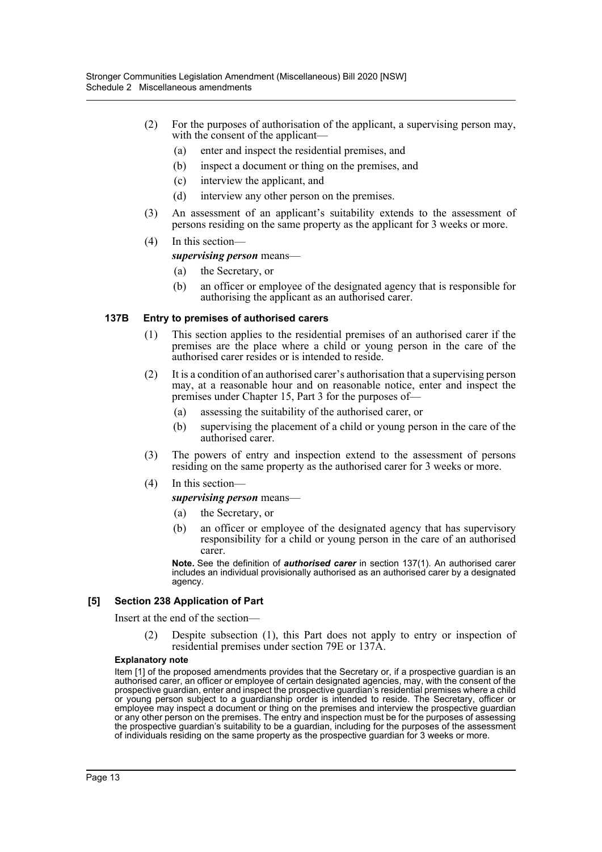- (2) For the purposes of authorisation of the applicant, a supervising person may, with the consent of the applicant-
	- (a) enter and inspect the residential premises, and
	- (b) inspect a document or thing on the premises, and
	- (c) interview the applicant, and
	- (d) interview any other person on the premises.
- (3) An assessment of an applicant's suitability extends to the assessment of persons residing on the same property as the applicant for 3 weeks or more.
- (4) In this section—

#### *supervising person* means—

- (a) the Secretary, or
- (b) an officer or employee of the designated agency that is responsible for authorising the applicant as an authorised carer.

#### **137B Entry to premises of authorised carers**

- (1) This section applies to the residential premises of an authorised carer if the premises are the place where a child or young person in the care of the authorised carer resides or is intended to reside.
- (2) It is a condition of an authorised carer's authorisation that a supervising person may, at a reasonable hour and on reasonable notice, enter and inspect the premises under Chapter 15, Part 3 for the purposes of—
	- (a) assessing the suitability of the authorised carer, or
	- (b) supervising the placement of a child or young person in the care of the authorised carer.
- (3) The powers of entry and inspection extend to the assessment of persons residing on the same property as the authorised carer for 3 weeks or more.
- (4) In this section—

#### *supervising person* means—

- (a) the Secretary, or
- (b) an officer or employee of the designated agency that has supervisory responsibility for a child or young person in the care of an authorised carer.

**Note.** See the definition of *authorised carer* in section 137(1). An authorised carer includes an individual provisionally authorised as an authorised carer by a designated agency.

#### **[5] Section 238 Application of Part**

Insert at the end of the section—

(2) Despite subsection (1), this Part does not apply to entry or inspection of residential premises under section 79E or 137A.

#### **Explanatory note**

Item [1] of the proposed amendments provides that the Secretary or, if a prospective guardian is an authorised carer, an officer or employee of certain designated agencies, may, with the consent of the prospective guardian, enter and inspect the prospective guardian's residential premises where a child or young person subject to a guardianship order is intended to reside. The Secretary, officer or employee may inspect a document or thing on the premises and interview the prospective guardian or any other person on the premises. The entry and inspection must be for the purposes of assessing the prospective guardian's suitability to be a guardian, including for the purposes of the assessment of individuals residing on the same property as the prospective guardian for 3 weeks or more.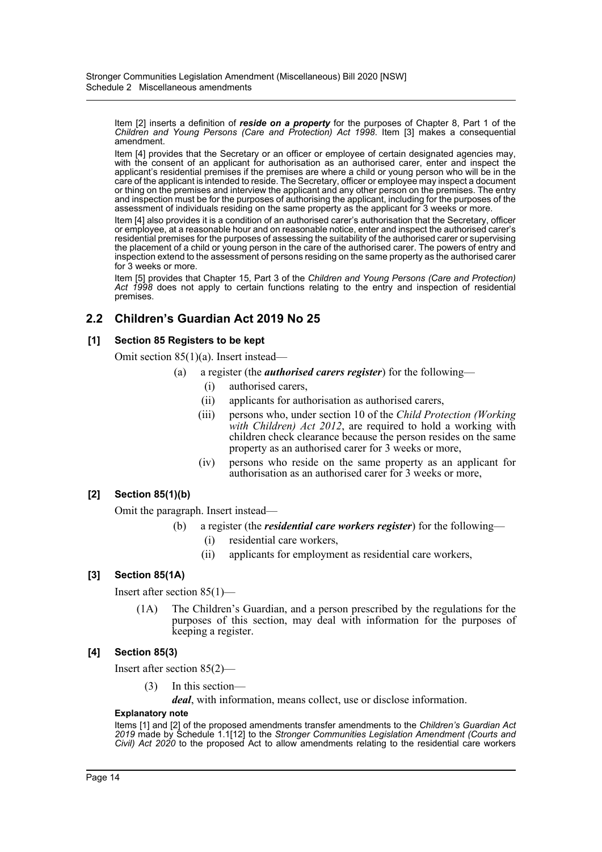Item [2] inserts a definition of *reside on a property* for the purposes of Chapter 8, Part 1 of the *Children and Young Persons (Care and Protection) Act 1998*. Item [3] makes a consequential amendment.

Item [4] provides that the Secretary or an officer or employee of certain designated agencies may, with the consent of an applicant for authorisation as an authorised carer, enter and inspect the applicant's residential premises if the premises are where a child or young person who will be in the care of the applicant is intended to reside. The Secretary, officer or employee may inspect a document or thing on the premises and interview the applicant and any other person on the premises. The entry and inspection must be for the purposes of authorising the applicant, including for the purposes of the assessment of individuals residing on the same property as the applicant for 3 weeks or more.

Item [4] also provides it is a condition of an authorised carer's authorisation that the Secretary, officer or employee, at a reasonable hour and on reasonable notice, enter and inspect the authorised carer's residential premises for the purposes of assessing the suitability of the authorised carer or supervising the placement of a child or young person in the care of the authorised carer. The powers of entry and inspection extend to the assessment of persons residing on the same property as the authorised carer for 3 weeks or more.

Item [5] provides that Chapter 15, Part 3 of the *Children and Young Persons (Care and Protection) Act 1998* does not apply to certain functions relating to the entry and inspection of residential premises.

# **2.2 Children's Guardian Act 2019 No 25**

# **[1] Section 85 Registers to be kept**

Omit section 85(1)(a). Insert instead—

- (a) a register (the *authorised carers register*) for the following—
	- (i) authorised carers,
	- (ii) applicants for authorisation as authorised carers,
	- (iii) persons who, under section 10 of the *Child Protection (Working with Children) Act 2012*, are required to hold a working with children check clearance because the person resides on the same property as an authorised carer for 3 weeks or more,
	- (iv) persons who reside on the same property as an applicant for authorisation as an authorised carer for 3 weeks or more,

# **[2] Section 85(1)(b)**

Omit the paragraph. Insert instead—

- (b) a register (the *residential care workers register*) for the following—
	- (i) residential care workers,
	- (ii) applicants for employment as residential care workers,

# **[3] Section 85(1A)**

Insert after section 85(1)—

(1A) The Children's Guardian, and a person prescribed by the regulations for the purposes of this section, may deal with information for the purposes of keeping a register.

# **[4] Section 85(3)**

Insert after section 85(2)—

(3) In this section—

*deal*, with information, means collect, use or disclose information.

#### **Explanatory note**

Items [1] and [2] of the proposed amendments transfer amendments to the *Children's Guardian Act 2019* made by Schedule 1.1[12] to the *Stronger Communities Legislation Amendment (Courts and Civil) Act 2020* to the proposed Act to allow amendments relating to the residential care workers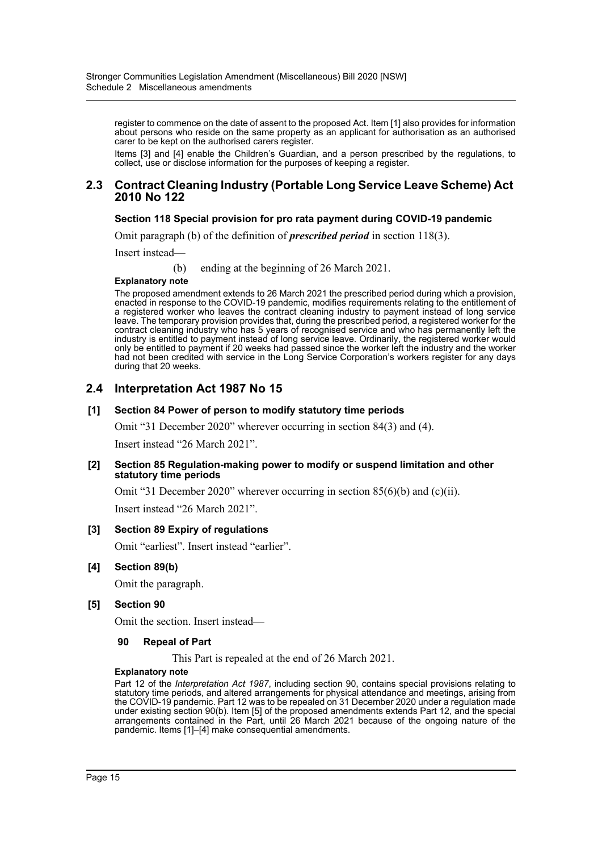register to commence on the date of assent to the proposed Act. Item [1] also provides for information about persons who reside on the same property as an applicant for authorisation as an authorised carer to be kept on the authorised carers register.

Items [3] and [4] enable the Children's Guardian, and a person prescribed by the regulations, to collect, use or disclose information for the purposes of keeping a register.

## **2.3 Contract Cleaning Industry (Portable Long Service Leave Scheme) Act 2010 No 122**

## **Section 118 Special provision for pro rata payment during COVID-19 pandemic**

Omit paragraph (b) of the definition of *prescribed period* in section 118(3).

Insert instead—

(b) ending at the beginning of 26 March 2021.

#### **Explanatory note**

The proposed amendment extends to 26 March 2021 the prescribed period during which a provision, enacted in response to the COVID-19 pandemic, modifies requirements relating to the entitlement of a registered worker who leaves the contract cleaning industry to payment instead of long service leave. The temporary provision provides that, during the prescribed period, a registered worker for the contract cleaning industry who has 5 years of recognised service and who has permanently left the industry is entitled to payment instead of long service leave. Ordinarily, the registered worker would only be entitled to payment if 20 weeks had passed since the worker left the industry and the worker had not been credited with service in the Long Service Corporation's workers register for any days during that 20 weeks.

# **2.4 Interpretation Act 1987 No 15**

#### **[1] Section 84 Power of person to modify statutory time periods**

Omit "31 December 2020" wherever occurring in section 84(3) and (4).

Insert instead "26 March 2021".

#### **[2] Section 85 Regulation-making power to modify or suspend limitation and other statutory time periods**

Omit "31 December 2020" wherever occurring in section 85(6)(b) and (c)(ii). Insert instead "26 March 2021".

#### **[3] Section 89 Expiry of regulations**

Omit "earliest". Insert instead "earlier".

#### **[4] Section 89(b)**

Omit the paragraph.

#### **[5] Section 90**

Omit the section. Insert instead—

#### **90 Repeal of Part**

This Part is repealed at the end of 26 March 2021.

#### **Explanatory note**

Part 12 of the *Interpretation Act 1987*, including section 90, contains special provisions relating to statutory time periods, and altered arrangements for physical attendance and meetings, arising from the COVID-19 pandemic. Part 12 was to be repealed on 31 December 2020 under a regulation made under existing section 90(b). Item [5] of the proposed amendments extends Part 12, and the special arrangements contained in the Part, until 26 March 2021 because of the ongoing nature of the pandemic. Items [1]-[4] make consequential amendments.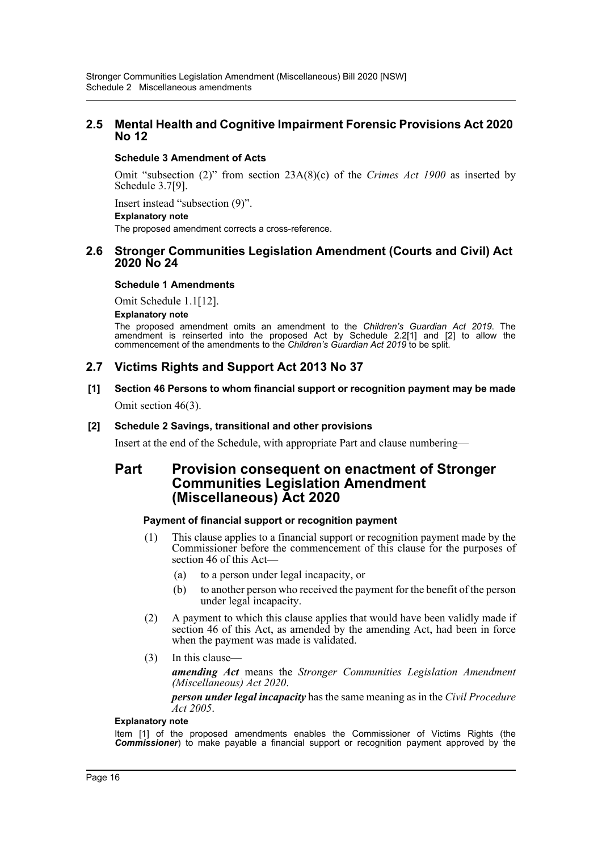# **2.5 Mental Health and Cognitive Impairment Forensic Provisions Act 2020 No 12**

# **Schedule 3 Amendment of Acts**

Omit "subsection (2)" from section 23A(8)(c) of the *Crimes Act 1900* as inserted by Schedule 3.7[9].

Insert instead "subsection (9)".

### **Explanatory note**

The proposed amendment corrects a cross-reference.

# **2.6 Stronger Communities Legislation Amendment (Courts and Civil) Act 2020 No 24**

# **Schedule 1 Amendments**

Omit Schedule 1.1[12].

#### **Explanatory note**

The proposed amendment omits an amendment to the *Children's Guardian Act 2019*. The amendment is reinserted into the proposed Act by Schedule 2.2[1] and [2] to allow the commencement of the amendments to the *Children's Guardian Act 2019* to be split.

# **2.7 Victims Rights and Support Act 2013 No 37**

# **[1] Section 46 Persons to whom financial support or recognition payment may be made** Omit section 46(3).

# **[2] Schedule 2 Savings, transitional and other provisions**

Insert at the end of the Schedule, with appropriate Part and clause numbering—

# **Part Provision consequent on enactment of Stronger Communities Legislation Amendment (Miscellaneous) Act 2020**

# **Payment of financial support or recognition payment**

- (1) This clause applies to a financial support or recognition payment made by the Commissioner before the commencement of this clause for the purposes of section 46 of this Act—
	- (a) to a person under legal incapacity, or
	- (b) to another person who received the payment for the benefit of the person under legal incapacity.
- (2) A payment to which this clause applies that would have been validly made if section 46 of this Act, as amended by the amending Act, had been in force when the payment was made is validated.
- (3) In this clause—

*amending Act* means the *Stronger Communities Legislation Amendment (Miscellaneous) Act 2020*.

*person under legal incapacity* has the same meaning as in the *Civil Procedure Act 2005*.

#### **Explanatory note**

Item [1] of the proposed amendments enables the Commissioner of Victims Rights (the *Commissioner*) to make payable a financial support or recognition payment approved by the